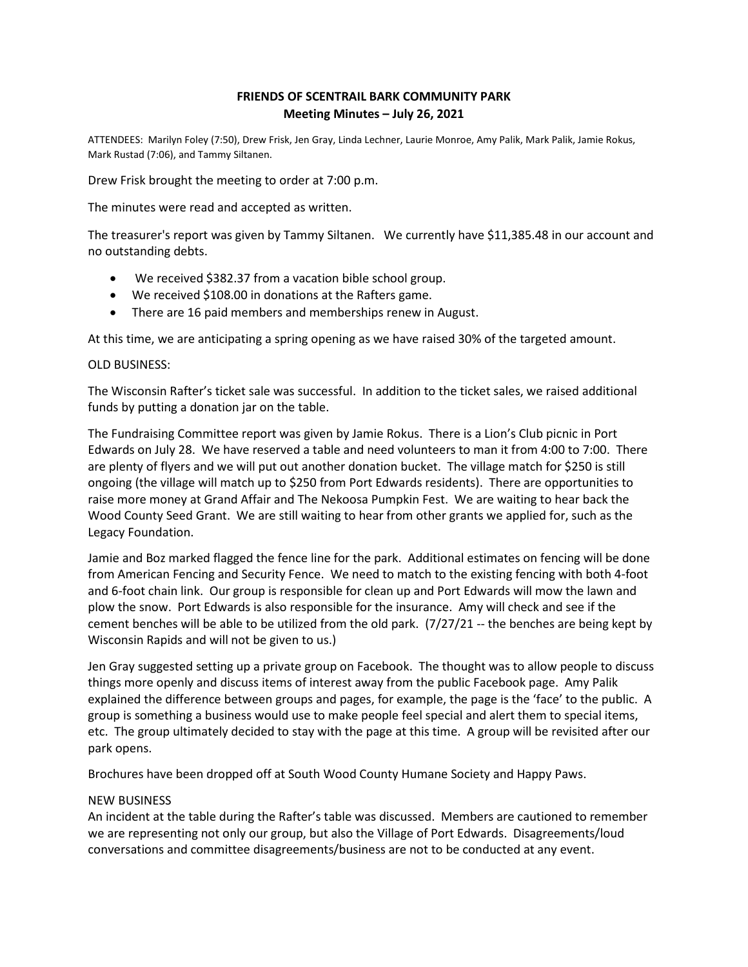## **FRIENDS OF SCENTRAIL BARK COMMUNITY PARK Meeting Minutes – July 26, 2021**

ATTENDEES: Marilyn Foley (7:50), Drew Frisk, Jen Gray, Linda Lechner, Laurie Monroe, Amy Palik, Mark Palik, Jamie Rokus, Mark Rustad (7:06), and Tammy Siltanen.

Drew Frisk brought the meeting to order at 7:00 p.m.

The minutes were read and accepted as written.

The treasurer's report was given by Tammy Siltanen. We currently have \$11,385.48 in our account and no outstanding debts.

- We received \$382.37 from a vacation bible school group.
- We received \$108.00 in donations at the Rafters game.
- There are 16 paid members and memberships renew in August.

At this time, we are anticipating a spring opening as we have raised 30% of the targeted amount.

## OLD BUSINESS:

The Wisconsin Rafter's ticket sale was successful. In addition to the ticket sales, we raised additional funds by putting a donation jar on the table.

The Fundraising Committee report was given by Jamie Rokus. There is a Lion's Club picnic in Port Edwards on July 28. We have reserved a table and need volunteers to man it from 4:00 to 7:00. There are plenty of flyers and we will put out another donation bucket. The village match for \$250 is still ongoing (the village will match up to \$250 from Port Edwards residents). There are opportunities to raise more money at Grand Affair and The Nekoosa Pumpkin Fest. We are waiting to hear back the Wood County Seed Grant. We are still waiting to hear from other grants we applied for, such as the Legacy Foundation.

Jamie and Boz marked flagged the fence line for the park. Additional estimates on fencing will be done from American Fencing and Security Fence. We need to match to the existing fencing with both 4-foot and 6-foot chain link. Our group is responsible for clean up and Port Edwards will mow the lawn and plow the snow. Port Edwards is also responsible for the insurance. Amy will check and see if the cement benches will be able to be utilized from the old park. (7/27/21 -- the benches are being kept by Wisconsin Rapids and will not be given to us.)

Jen Gray suggested setting up a private group on Facebook. The thought was to allow people to discuss things more openly and discuss items of interest away from the public Facebook page. Amy Palik explained the difference between groups and pages, for example, the page is the 'face' to the public. A group is something a business would use to make people feel special and alert them to special items, etc. The group ultimately decided to stay with the page at this time. A group will be revisited after our park opens.

Brochures have been dropped off at South Wood County Humane Society and Happy Paws.

## NEW BUSINESS

An incident at the table during the Rafter's table was discussed. Members are cautioned to remember we are representing not only our group, but also the Village of Port Edwards. Disagreements/loud conversations and committee disagreements/business are not to be conducted at any event.